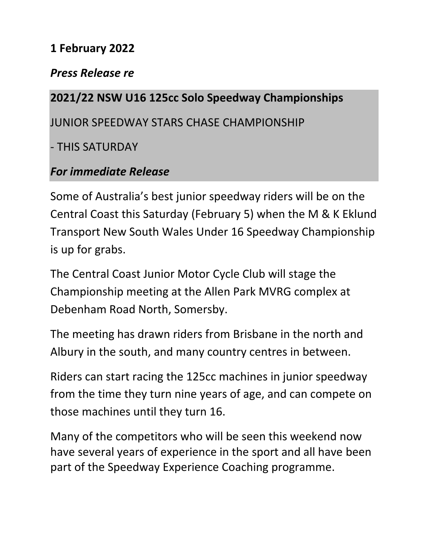## **1 February 2022**

## *Press Release re*

## **2021/22 NSW U16 125cc Solo Speedway Championships**

JUNIOR SPEEDWAY STARS CHASE CHAMPIONSHIP

- THIS SATURDAY

## *For immediate Release*

Some of Australia's best junior speedway riders will be on the Central Coast this Saturday (February 5) when the M & K Eklund Transport New South Wales Under 16 Speedway Championship is up for grabs.

The Central Coast Junior Motor Cycle Club will stage the Championship meeting at the Allen Park MVRG complex at Debenham Road North, Somersby.

The meeting has drawn riders from Brisbane in the north and Albury in the south, and many country centres in between.

Riders can start racing the 125cc machines in junior speedway from the time they turn nine years of age, and can compete on those machines until they turn 16.

Many of the competitors who will be seen this weekend now have several years of experience in the sport and all have been part of the Speedway Experience Coaching programme.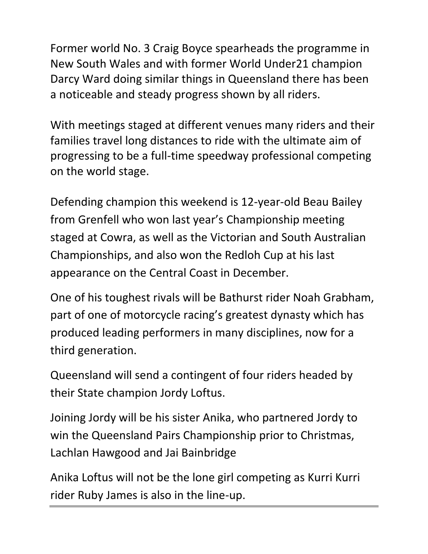Former world No. 3 Craig Boyce spearheads the programme in New South Wales and with former World Under21 champion Darcy Ward doing similar things in Queensland there has been a noticeable and steady progress shown by all riders.

With meetings staged at different venues many riders and their families travel long distances to ride with the ultimate aim of progressing to be a full-time speedway professional competing on the world stage.

Defending champion this weekend is 12-year-old Beau Bailey from Grenfell who won last year's Championship meeting staged at Cowra, as well as the Victorian and South Australian Championships, and also won the Redloh Cup at his last appearance on the Central Coast in December.

One of his toughest rivals will be Bathurst rider Noah Grabham, part of one of motorcycle racing's greatest dynasty which has produced leading performers in many disciplines, now for a third generation.

Queensland will send a contingent of four riders headed by their State champion Jordy Loftus.

Joining Jordy will be his sister Anika, who partnered Jordy to win the Queensland Pairs Championship prior to Christmas, Lachlan Hawgood and Jai Bainbridge

Anika Loftus will not be the lone girl competing as Kurri Kurri rider Ruby James is also in the line-up.